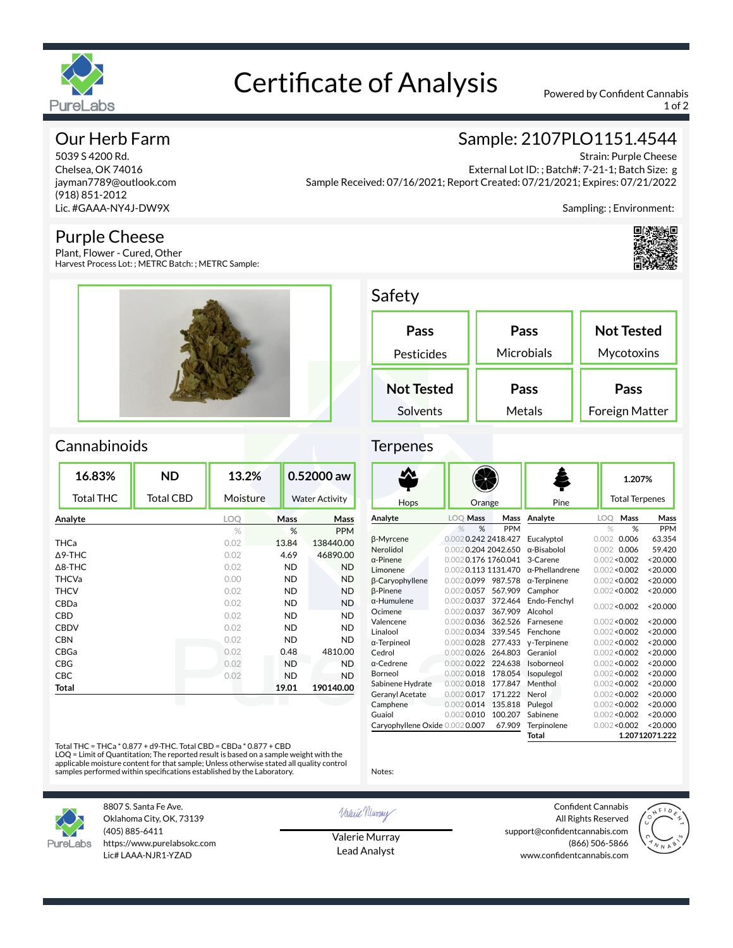

# Certificate of Analysis Powered by Confident Cannabis

1 of 2

## Our Herb Farm

5039 S 4200 Rd. Chelsea, OK 74016 jayman7789@outlook.com (918) 851-2012 Lic. #GAAA-NY4J-DW9X

### Purple Cheese

Plant, Flower - Cured, Other Harvest Process Lot: ; METRC Batch: ; METRC Sample:



# Sample: 2107PLO1151.4544

Strain: Purple Cheese External Lot ID: ; Batch#: 7-21-1; Batch Size: g Sample Received: 07/16/2021; Report Created: 07/21/2021; Expires: 07/21/2022

Sampling: ; Environment:



## Safety

| Pass<br>Pesticides | Pass<br>Microbials | <b>Not Tested</b><br>Mycotoxins |
|--------------------|--------------------|---------------------------------|
| <b>Not Tested</b>  | Pass               | Pass                            |
| Solvents           | Metals             | Foreign Matter                  |

## Cannabinoids

| Mass      | <b>Water Activity</b> |
|-----------|-----------------------|
|           |                       |
|           | Mass                  |
| %         | <b>PPM</b>            |
| 13.84     | 138440.00             |
| 4.69      | 46890.00              |
| ND.       | <b>ND</b>             |
| <b>ND</b> | <b>ND</b>             |
| ND.       | <b>ND</b>             |
| ND.       | <b>ND</b>             |
| <b>ND</b> | <b>ND</b>             |
| ND.       | <b>ND</b>             |
| ND.       | <b>ND</b>             |
| 0.48      | 4810.00               |
| <b>ND</b> | <b>ND</b>             |
| <b>ND</b> | <b>ND</b>             |
|           | 190140.00             |
|           | 19.01                 |

#### Ternenes

|                                |                      |                     |                        | 1.207%        |                       |                |
|--------------------------------|----------------------|---------------------|------------------------|---------------|-----------------------|----------------|
| Hops                           | Orange               |                     | Pine                   |               | <b>Total Terpenes</b> |                |
| Analyte                        | <b>LOO Mass</b>      | Mass                | Analyte                | LOO           | Mass                  | Mass           |
|                                | $\frac{1}{2}$<br>%   | <b>PPM</b>          |                        | $\frac{1}{2}$ | %                     | <b>PPM</b>     |
| β-Myrcene                      |                      | 0.0020.242 2418.427 | Eucalyptol             | 0.002         | 0.006                 | 63.354         |
| Nerolidol                      |                      | 0.0020.204 2042.650 | $\alpha$ -Bisabolol    |               | 0.002 0.006           | 59.420         |
| $\alpha$ -Pinene               |                      | 0.0020.176 1760.041 | 3-Carene               |               | 0.002 < 0.002         | < 20.000       |
| Limonene                       |                      | 0.0020.113 1131.470 | $\alpha$ -Phellandrene |               | 0.002 < 0.002         | < 20.000       |
| <b>B-Caryophyllene</b>         | 0.0020.099           | 987.578             | $\alpha$ -Terpinene    |               | 0.002 < 0.002         | < 20.000       |
| <b>B-Pinene</b>                | $0.002$ 0.057        | 567.909             | Camphor                |               | 0.002 < 0.002         | < 20.000       |
| $\alpha$ -Humulene             | $0.002$ 0.037        | 372.464             | Endo-Fenchvl           |               | 0.002 < 0.002         | < 20.000       |
| Ocimene                        | $0.002$ 0.037        | 367.909             | Alcohol                |               |                       |                |
| Valencene                      | $0.002$ 0.036        | 362.526             | Farnesene              |               | 0.002 < 0.002         | < 20.000       |
| Linalool                       | $0.002$ 0.034        | 339.545             | Fenchone               |               | 0.002 < 0.002         | < 20.000       |
| α-Terpineol                    | $0.002$ 0.028        | 277.433             | y-Terpinene            |               | 0.002 < 0.002         | < 20.000       |
| Cedrol                         | $0.002$ <b>0.026</b> | 264.803             | Geraniol               |               | 0.002 < 0.002         | < 20.000       |
| a-Cedrene                      | $0.002$ 0.022        | 224.638             | Isoborneol             |               | 0.002 < 0.002         | < 20.000       |
| Borneol                        | $0.002$ 0.018        | 178.054             | Isopulegol             |               | 0.002 < 0.002         | < 20.000       |
| Sabinene Hydrate               | $0.002$ 0.018        | 177.847             | Menthol                |               | 0.002 < 0.002         | < 20.000       |
| <b>Geranyl Acetate</b>         | $0.002$ 0.017        | 171.222             | Nerol                  |               | 0.002 < 0.002         | < 20.000       |
| Camphene                       | $0.002$ 0.014        | 135.818             | Pulegol                |               | 0.002 < 0.002         | < 20.000       |
| Guaiol                         | $0.002$ 0.010        | 100.207             | Sabinene               |               | 0.002 < 0.002         | < 20.000       |
| Caryophyllene Oxide 0.0020.007 |                      | 67.909              | Terpinolene            |               | 0.002 < 0.002         | < 20.000       |
|                                |                      |                     | Total                  |               |                       | 1.20712071.222 |

Total THC = THCa \* 0.877 + d9-THC. Total CBD = CBDa \* 0.877 + CBD

LOQ = Limit of Quantitation; The reported result is based on a sample weight with the<br>applicable moisture content for that sample; Unless otherwise stated all quality control<br>samples performed within specifications establi



8807 S. Santa Fe Ave. Oklahoma City, OK, 73139 (405) 885-6411 https://www.purelabsokc.com Lic# LAAA-NJR1-YZAD

Valerie Newmay

Notes:

Valerie Murray Lead Analyst

Confident Cannabis All Rights Reserved support@confidentcannabis.com (866) 506-5866 www.confidentcannabis.com